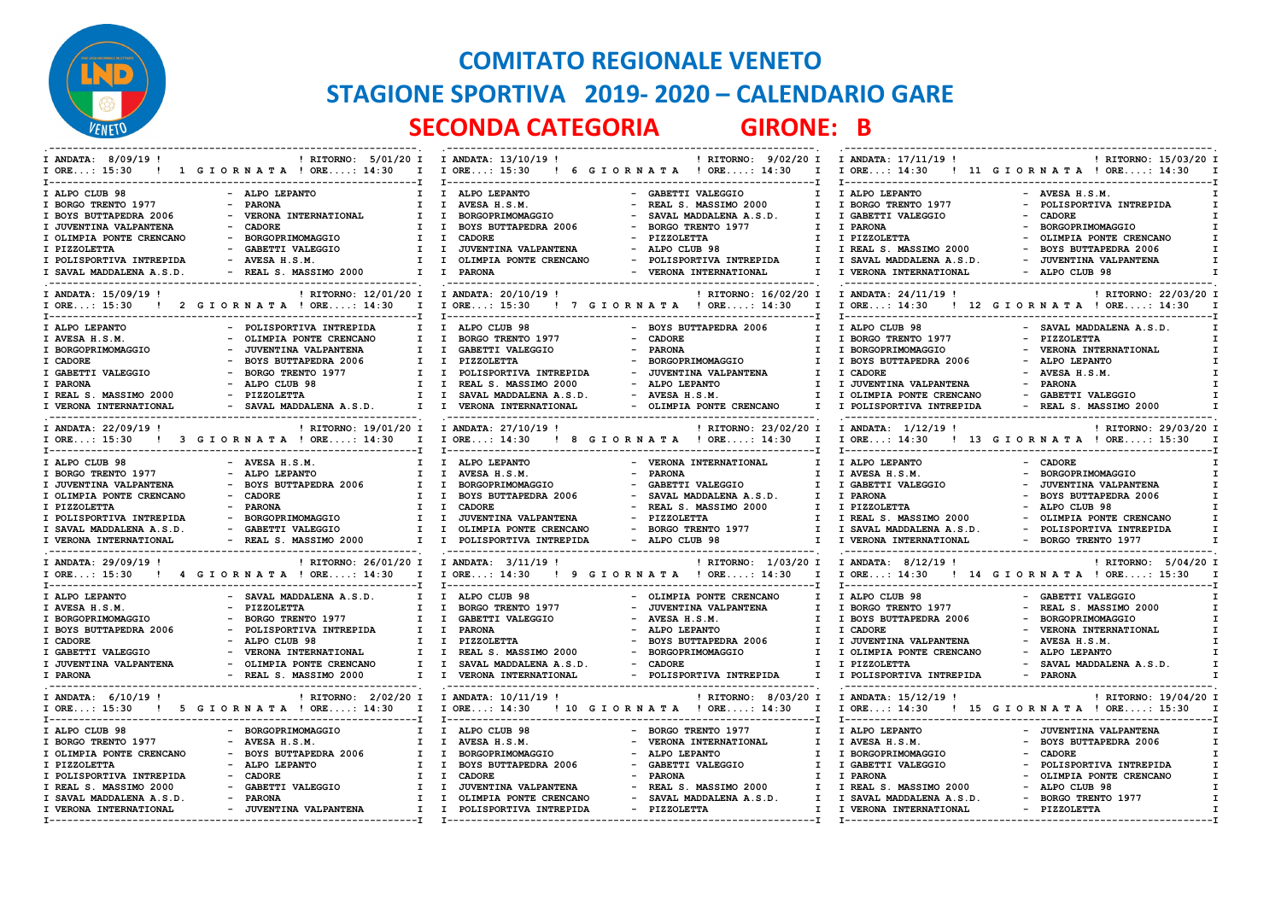

## **COMITATO REGIONALE VENETO STAGIONE SPORTIVA 2019- 2020 – CALENDARIO GARE SECONDA CATEGORIA GIRONE: B**

| I ANDATA: 8/09/19!                                     | ! RITORNO: 5/01/20 I I ANDATA: 13/10/19 !                     |                                                  | ! RITORNO: 9/02/20 I                      | I ANDATA: 17/11/19 !                                   | ! RITORNO: 15/03/20 I       |
|--------------------------------------------------------|---------------------------------------------------------------|--------------------------------------------------|-------------------------------------------|--------------------------------------------------------|-----------------------------|
| $I$ ORE: 15:30                                         | ! 1 GIORNATA ! ORE: 14:30                                     | I I ORE: 15:30                                   | ! 6 GIORNATA ! ORE: 14:30<br>$\mathbf{I}$ | I ORE: 14:30                                           | ! 11 GIORNATA ! ORE: 14:30  |
|                                                        |                                                               |                                                  |                                           |                                                        |                             |
| I ALPO CLUB 98                                         | - ALPO LEPANTO                                                | I ALPO LEPANTO                                   | GABETTI VALEGGIO<br>$\mathbf{I}$          | I ALPO LEPANTO                                         | - AVESA H.S.M.              |
| I BORGO TRENTO 1977                                    | <b>PARONA</b><br>Ι.                                           | AVESA H.S.M.<br>$\mathbf{I}$<br>$\sim$           | REAL S. MASSIMO 2000                      | I BORGO TRENTO 1977                                    | - POLISPORTIVA INTREPIDA    |
| I BOYS BUTTAPEDRA 2006                                 | VERONA INTERNATIONAL<br>$\mathbf{I}$                          | $\mathbf{I}$<br>BORGOPRIMOMAGGIO                 | SAVAL MADDALENA A.S.D.<br>$\mathbf{I}$    | I GABETTI VALEGGIO                                     | - CADORE                    |
| I JUVENTINA VALPANTENA                                 | <b>CADORE</b><br>T                                            | <b>BOYS BUTTAPEDRA 2006</b><br>$\mathbf{I}$      | BORGO TRENTO 1977<br>I.                   | I PARONA                                               | - BORGOPRIMOMAGGIO          |
| I OLIMPIA PONTE CRENCANO                               | BORGOPRIMOMAGGIO<br>I.                                        | <b>CADORE</b><br>$\mathbf{I}$                    | <b>PIZZOLETTA</b><br>I.                   | I PIZZOLETTA                                           | OLIMPIA PONTE CRENCANO      |
|                                                        |                                                               |                                                  |                                           |                                                        |                             |
| I PIZZOLETTA                                           | GABETTI VALEGGIO<br>Ι.                                        | JUVENTINA VALPANTENA<br>$\mathbf{I}$<br>$\sim$   | ALPO CLUB 98<br>T                         | I REAL S. MASSIMO 2000                                 | - BOYS BUTTAPEDRA 2006      |
| I POLISPORTIVA INTREPIDA                               | $-$ AVESA H.S.M.<br>$\mathbf{I}$                              | OLIMPIA PONTE CRENCANO<br>$\mathbf{I}$<br>$\sim$ | POLISPORTIVA INTREPIDA<br>$\mathbf{I}$    | I SAVAL MADDALENA A.S.D.                               | - JUVENTINA VALPANTENA      |
| I SAVAL MADDALENA A.S.D.<br>-------------------------- | - REAL S. MASSIMO 2000<br>$\mathbf{I}$                        | $\mathbf{I}$<br><b>PARONA</b>                    | - VERONA INTERNATIONAL<br>$\mathbf{I}$    | I VERONA INTERNATIONAL<br>---------------------------- | - ALPO CLUB 98              |
| I ANDATA: 15/09/19 !                                   | ! RITORNO: 12/01/20 I                                         | I ANDATA: 20/10/19!                              | ! RITORNO: 16/02/20 I                     | I ANDATA: 24/11/19 !                                   | ! RITORNO: 22/03/20 I       |
|                                                        | I ORE: 15:30 ! 2 G I O R N A T A ! ORE: 14:30<br>$\mathbf{I}$ | I ORE: 15:30 ! 7 G I OR N A T A ! ORE: 14:30     | $\mathbf{I}$                              | $I$ ORE: 14:30                                         | ! 12 GIORNATA ! ORE: 14:30  |
|                                                        |                                                               |                                                  |                                           |                                                        |                             |
| I ALPO LEPANTO                                         | POLISPORTIVA INTREPIDA                                        | $\mathbf{I}$<br>ALPO CLUB 98                     | <b>BOYS BUTTAPEDRA 2006</b>               | I ALPO CLUB 98                                         | - SAVAL MADDALENA A.S.D.    |
| I AVESA H.S.M.                                         | OLIMPIA PONTE CRENCANO<br>I.                                  | $\mathbf{I}$<br>BORGO TRENTO 1977                | <b>CADORE</b><br>I.                       | I BORGO TRENTO 1977                                    | - PIZZOLETTA                |
| I BORGOPRIMOMAGGIO                                     | JUVENTINA VALPANTENA<br>I.                                    | GABETTI VALEGGIO<br>$\mathbf{I}$                 | <b>PARONA</b>                             | I BORGOPRIMOMAGGIO                                     | - VERONA INTERNATIONAL      |
|                                                        |                                                               |                                                  |                                           |                                                        |                             |
| I CADORE                                               | <b>BOYS BUTTAPEDRA 2006</b><br>I.                             | $\mathbf{I}$<br><b>PIZZOLETTA</b>                | BORGOPRIMOMAGGIO<br><b>I</b>              | I BOYS BUTTAPEDRA 2006                                 | - ALPO LEPANTO              |
| I GABETTI VALEGGIO                                     | BORGO TRENTO 1977<br>Ι.                                       | POLISPORTIVA INTREPIDA<br>I                      | JUVENTINA VALPANTENA<br>I.                | I CADORE                                               | - AVESA H.S.M.              |
| I PARONA                                               | ALPO CLUB 98<br>I.                                            | $\mathbf{I}$<br>REAL S. MASSIMO 2000             | ALPO LEPANTO<br>$\mathbf{I}$              | I JUVENTINA VALPANTENA                                 | - PARONA                    |
| I REAL S. MASSIMO 2000                                 | - PIZZOLETTA<br>$\mathbf{I}$                                  | SAVAL MADDALENA A.S.D.<br>$\mathbf{I}$           | - AVESA H.S.M.<br>T                       | I OLIMPIA PONTE CRENCANO                               | - GABETTI VALEGGIO          |
| I VERONA INTERNATIONAL                                 | $\mathbf{I}$<br>- SAVAL MADDALENA A.S.D.                      | $\mathbf{I}$<br>VERONA INTERNATIONAL             | - OLIMPIA PONTE CRENCANO<br>$\mathbf{I}$  | I POLISPORTIVA INTREPIDA                               | - REAL S. MASSIMO 2000      |
|                                                        |                                                               |                                                  |                                           |                                                        |                             |
| I ANDATA: 22/09/19 !                                   | ! RITORNO: 19/01/20 I I ANDATA: 27/10/19 !                    |                                                  | ! RITORNO: 23/02/20 I                     | I ANDATA: 1/12/19 !                                    | ! RITORNO: 29/03/20 I       |
| $I$ ORE: 15:30                                         | ! 3 GIORNATA ! ORE: 14:30<br>$\mathbf{I}$                     | I ORE: 14:30 ! 8 G I ORNATA ! ORE: 14:30         | $\mathbf{I}$                              | I ORE: 14:30                                           | ! 13 GIORNATA ! ORE: 15:30  |
|                                                        | ----------------------------------                            | I------------------------------                  | .----------------------------T            |                                                        |                             |
| I ALPO CLUB 98                                         | - AVESA H.S.M.                                                | $\mathbf{I}$<br>ALPO LEPANTO                     | - VERONA INTERNATIONAL<br>$\mathbf{I}$    | I ALPO LEPANTO                                         | - CADORE                    |
| I BORGO TRENTO 1977                                    | ALPO LEPANTO<br>I.                                            | $\mathbf{I}$<br>AVESA H.S.M.                     | <b>PARONA</b><br>I                        | I AVESA H.S.M.                                         | BORGOPRIMOMAGGIO            |
| I JUVENTINA VALPANTENA                                 | <b>BOYS BUTTAPEDRA 2006</b><br>Ι.                             | $\mathbf{I}$<br>BORGOPRIMOMAGGIO                 | GABETTI VALEGGIO<br>I                     | I GABETTI VALEGGIO                                     | JUVENTINA VALPANTENA        |
|                                                        |                                                               |                                                  |                                           |                                                        |                             |
| I OLIMPIA PONTE CRENCANO                               | <b>CADORE</b>                                                 | $\mathbf{I}$<br><b>BOYS BUTTAPEDRA 2006</b>      | SAVAL MADDALENA A.S.D.<br>$\mathbf{I}$    | I PARONA                                               | <b>BOYS BUTTAPEDRA 2006</b> |
| I PIZZOLETTA                                           | <b>PARONA</b><br>T                                            | $\mathbf{I}$<br><b>CADORE</b>                    | REAL S. MASSIMO 2000<br>I.                | I PIZZOLETTA                                           | - ALPO CLUB 98              |
| I POLISPORTIVA INTREPIDA                               | BORGOPRIMOMAGGIO<br>Ι.                                        | JUVENTINA VALPANTENA<br>$\mathbf{I}$             | PIZZOLETTA                                | I REAL S. MASSIMO 2000                                 | OLIMPIA PONTE CRENCANO      |
| I SAVAL MADDALENA A.S.D.                               | GABETTI VALEGGIO<br>$\mathbf{I}$                              | $\mathbf{I}$<br>OLIMPIA PONTE CRENCANO           | BORGO TRENTO 1977<br>$\mathbf{I}$         | I SAVAL MADDALENA A.S.D.                               | - POLISPORTIVA INTREPIDA    |
| I VERONA INTERNATIONAL                                 | - REAL S. MASSIMO 2000<br>$\mathbf{I}$                        | POLISPORTIVA INTREPIDA<br>$\mathbf{I}$           | - ALPO CLUB 98<br>$\mathbf{I}$            | I VERONA INTERNATIONAL                                 | - BORGO TRENTO 1977         |
|                                                        | ! RITORNO: 26/01/20 I I ANDATA: 3/11/19 !                     |                                                  | ! RITORNO: 1/03/20 I                      |                                                        |                             |
| I ANDATA: 29/09/19 !                                   |                                                               |                                                  |                                           | I ANDATA: 8/12/19!                                     | ! RITORNO: 5/04/20 I        |
| $I$ ORE: 15:30                                         | 4 GIORNATA ! ORE: 14:30<br>$\mathbf{I}$                       | I ORE: 14:30<br>$T -$                            | ! 9 GIORNATA ! ORE: 14:30<br>$\mathbf{I}$ | $I$ ORE: 14:30                                         | ! 14 GIORNATA ! ORE: 15:30  |
| I ALPO LEPANTO                                         | - SAVAL MADDALENA A.S.D.<br>$\mathbf{I}$                      | I ALPO CLUB 98                                   | - OLIMPIA PONTE CRENCANO<br>$\mathbf{I}$  | I ALPO CLUB 98                                         | - GABETTI VALEGGIO          |
| I AVESA H.S.M.                                         | <b>PIZZOLETTA</b><br>$\mathbf{I}$                             | $\mathbf{I}$<br>BORGO TRENTO 1977                | JUVENTINA VALPANTENA<br>$\mathbf{I}$      | I BORGO TRENTO 1977                                    | - REAL S. MASSIMO 2000      |
|                                                        |                                                               |                                                  |                                           |                                                        |                             |
| I BORGOPRIMOMAGGIO                                     | BORGO TRENTO 1977<br>$\mathbf{I}$                             | $\mathbf{I}$<br>GABETTI VALEGGIO                 | AVESA H.S.M.<br>$\mathbf{I}$              | I BOYS BUTTAPEDRA 2006                                 | BORGOPRIMOMAGGIO            |
| I BOYS BUTTAPEDRA 2006                                 | POLISPORTIVA INTREPIDA<br>I.                                  | $\mathbf{I}$<br><b>PARONA</b>                    | ALPO LEPANTO<br>I.                        | I CADORE                                               | VERONA INTERNATIONAL        |
| I CADORE                                               | ALPO CLUB 98<br>T                                             | $\mathbf{I}$<br>PIZZOLETTA                       | <b>BOYS BUTTAPEDRA 2006</b>               | I JUVENTINA VALPANTENA                                 | - AVESA H.S.M.              |
| I GABETTI VALEGGIO                                     | VERONA INTERNATIONAL<br>Ι.                                    | REAL S. MASSIMO 2000<br>$\mathbf{I}$             | BORGOPRIMOMAGGIO<br>I.                    | I OLIMPIA PONTE CRENCANO                               | - ALPO LEPANTO              |
| I JUVENTINA VALPANTENA                                 | OLIMPIA PONTE CRENCANO<br>I.                                  | I.<br>SAVAL MADDALENA A.S.D.                     | CADORE<br>п                               | I PIZZOLETTA                                           | SAVAL MADDALENA A.S.D.      |
| I PARONA                                               | REAL S. MASSIMO 2000<br>$\mathbf{I}$                          | VERONA INTERNATIONAL                             | - POLISPORTIVA INTREPIDA<br>$\mathbf{I}$  | I POLISPORTIVA INTREPIDA                               | - PARONA                    |
|                                                        |                                                               |                                                  |                                           |                                                        |                             |
| I ANDATA: 6/10/19 !                                    | ! RITORNO: 2/02/20 I                                          | I ANDATA: 10/11/19 !                             | ! RITORNO: 8/03/20 I                      | I ANDATA: 15/12/19 !                                   | ! RITORNO: 19/04/20 I       |
|                                                        | I ORE: 15:30 ! 5 G I O R N A T A ! ORE: 14:30<br>$\mathbf{I}$ | I ORE: 14:30 ! 10 G I OR N A T A ! ORE: 14:30    | I                                         | $I$ ORE: 14:30                                         | ! 15 GIORNATA ! ORE: 15:30  |
|                                                        |                                                               | $T - 1$                                          |                                           |                                                        |                             |
| I ALPO CLUB 98                                         | - BORGOPRIMOMAGGIO<br>$\mathbf{I}$                            | I ALPO CLUB 98                                   | - BORGO TRENTO 1977<br>T                  | I ALPO LEPANTO                                         | - JUVENTINA VALPANTENA      |
| I BORGO TRENTO 1977                                    | AVESA H.S.M.<br>$\mathbf{I}$                                  | I AVESA H.S.M.                                   | VERONA INTERNATIONAL<br>T                 | I AVESA H.S.M.                                         | - BOYS BUTTAPEDRA 2006      |
|                                                        |                                                               |                                                  |                                           |                                                        |                             |
| I OLIMPIA PONTE CRENCANO                               | <b>BOYS BUTTAPEDRA 2006</b><br>$\mathbf{I}$                   | BORGOPRIMOMAGGIO<br>$\mathbf{I}$                 | ALPO LEPANTO<br><b>I</b>                  | I BORGOPRIMOMAGGIO                                     | <b>CADORE</b>               |
| I PIZZOLETTA                                           | ALPO LEPANTO<br>I.                                            | <b>BOYS BUTTAPEDRA 2006</b><br>$\mathbf{I}$      | GABETTI VALEGGIO<br>I.                    | I GABETTI VALEGGIO                                     | POLISPORTIVA INTREPIDA      |
| I POLISPORTIVA INTREPIDA                               | <b>CADORE</b><br>T                                            | $\mathbf{I}$<br><b>CADORE</b>                    | <b>PARONA</b><br>T                        | I PARONA                                               | OLIMPIA PONTE CRENCANO      |
| I REAL S. MASSIMO 2000                                 | GABETTI VALEGGIO<br>$\mathbf{I}$                              | JUVENTINA VALPANTENA<br>$\mathbf{I}$             | REAL S. MASSIMO 2000<br>I.                | I REAL S. MASSIMO 2000                                 | - ALPO CLUB 98              |
| I SAVAL MADDALENA A.S.D.                               | - PARONA<br>I.                                                | OLIMPIA PONTE CRENCANO<br>$\mathbf{I}$           | SAVAL MADDALENA A.S.D.<br>I.              | I SAVAL MADDALENA A.S.D.                               | - BORGO TRENTO 1977         |
| I VERONA INTERNATIONAL                                 | - JUVENTINA VALPANTENA<br>I.                                  | I POLISPORTIVA INTREPIDA                         | - PIZZOLETTA<br>T                         | I VERONA INTERNATIONAL                                 | - PIZZOLETTA                |
|                                                        |                                                               |                                                  |                                           |                                                        |                             |
|                                                        |                                                               |                                                  |                                           |                                                        |                             |